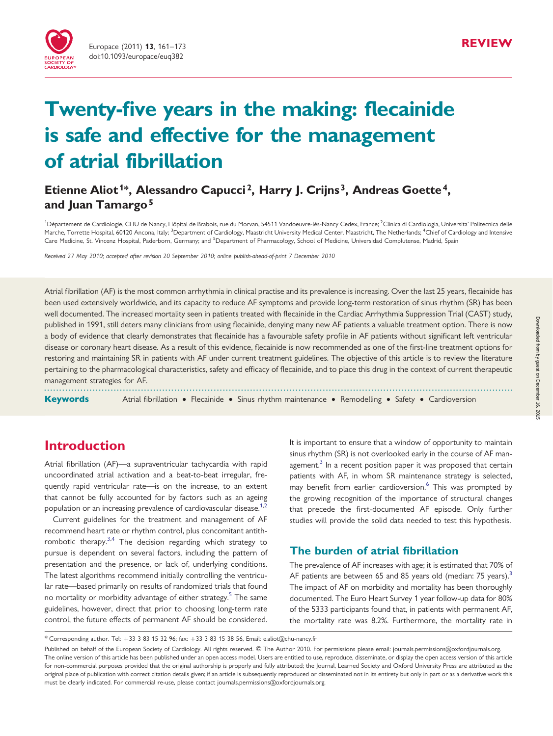

# Twenty-five years in the making: flecainide is safe and effective for the management of atrial fibrillation

# Etienne Aliot<sup>1\*</sup>, Alessandro Capucci<sup>2</sup>, Harry J. Crijns<sup>3</sup>, Andreas Goette<sup>4</sup>, and Juan Tamargo<sup>5</sup>

<sup>1</sup>Département de Cardiologie, CHU de Nancy, Hôpital de Brabois, rue du Morvan, 54511 Vandoeuvre-lès-Nancy Cedex, France; <sup>2</sup>Clinica di Cardiologia, Universita' Politecnica delle Marche, Torrette Hospital, 60120 Ancona, Italy; <sup>3</sup>Department of Cardiology, Maastricht University Medical Center, Maastricht, The Netherlands; <sup>4</sup>Chief of Cardiology and Intensive Care Medicine, St. Vincenz Hospital, Paderborn, Germany; and <sup>5</sup>Department of Pharmacology, School of Medicine, Universidad Complutense, Madrid, Spain

Received 27 May 2010; accepted after revision 20 September 2010; online publish-ahead-of-print 7 December 2010

Atrial fibrillation (AF) is the most common arrhythmia in clinical practise and its prevalence is increasing. Over the last 25 years, flecainide has been used extensively worldwide, and its capacity to reduce AF symptoms and provide long-term restoration of sinus rhythm (SR) has been well documented. The increased mortality seen in patients treated with flecainide in the Cardiac Arrhythmia Suppression Trial (CAST) study, published in 1991, still deters many clinicians from using flecainide, denying many new AF patients a valuable treatment option. There is now a body of evidence that clearly demonstrates that flecainide has a favourable safety profile in AF patients without significant left ventricular disease or coronary heart disease. As a result of this evidence, flecainide is now recommended as one of the first-line treatment options for restoring and maintaining SR in patients with AF under current treatment guidelines. The objective of this article is to review the literature pertaining to the pharmacological characteristics, safety and efficacy of flecainide, and to place this drug in the context of current therapeutic management strategies for AF.

-----------------------------------------------------------------------------------------------------------------------------------------------------------

**Keywords** Atrial fibrillation • Flecainide • Sinus rhythm maintenance • Remodelling • Safety • Cardioversion

# Introduction

Atrial fibrillation (AF)—a supraventricular tachycardia with rapid uncoordinated atrial activation and a beat-to-beat irregular, frequently rapid ventricular rate—is on the increase, to an extent that cannot be fully accounted for by factors such as an ageing population or an increasing prevalence of cardiovascular disease.<sup>[1](#page-9-0),[2](#page-9-0)</sup>

Current guidelines for the treatment and management of AF recommend heart rate or rhythm control, plus concomitant antithrombotic therapy.<sup>3,4</sup> The decision regarding which strategy to pursue is dependent on several factors, including the pattern of presentation and the presence, or lack of, underlying conditions. The latest algorithms recommend initially controlling the ventricular rate—based primarily on results of randomized trials that found no mortality or morbidity advantage of either strategy.<sup>[5](#page-9-0)</sup> The same guidelines, however, direct that prior to choosing long-term rate control, the future effects of permanent AF should be considered. It is important to ensure that a window of opportunity to maintain sinus rhythm (SR) is not overlooked early in the course of AF management. $3$  In a recent position paper it was proposed that certain patients with AF, in whom SR maintenance strategy is selected, may benefit from earlier cardioversion.<sup>[6](#page-9-0)</sup> This was prompted by the growing recognition of the importance of structural changes that precede the first-documented AF episode. Only further studies will provide the solid data needed to test this hypothesis.

# The burden of atrial fibrillation

The prevalence of AF increases with age; it is estimated that 70% of AF patients are between 65 and 85 years old (median: 75 years).<sup>[3](#page-9-0)</sup> The impact of AF on morbidity and mortality has been thoroughly documented. The Euro Heart Survey 1 year follow-up data for 80% of the 5333 participants found that, in patients with permanent AF, the mortality rate was 8.2%. Furthermore, the mortality rate in

<sup>\*</sup> Corresponding author. Tel: +33 3 83 15 32 96; fax: +33 3 83 15 38 56, Email: e.aliot@chu-nancy.fr

Published on behalf of the European Society of Cardiology. All rights reserved. © The Author 2010. For permissions please email: journals.permissions@oxfordjournals.org. The online version of this article has been published under an open access model. Users are entitled to use, reproduce, disseminate, or display the open access version of this article for non-commercial purposes provided that the original authorship is properly and fully attributed; the Journal, Learned Society and Oxford University Press are attributed as the original place of publication with correct citation details given; if an article is subsequently reproduced or disseminated not in its entirety but only in part or as a derivative work this must be clearly indicated. For commercial re-use, please contact journals.permissions@oxfordjournals.org.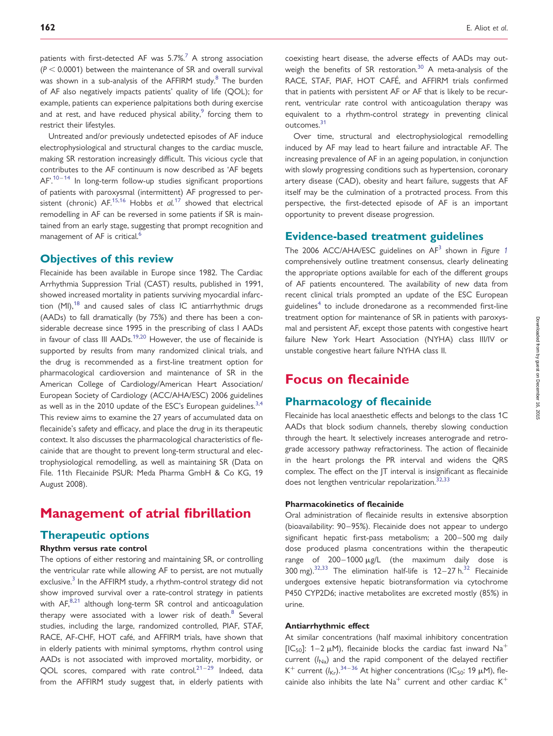patients with first-detected AF was  $5.7\%$  $5.7\%$  $5.7\%$ <sup>7</sup> A strong association  $(P < 0.0001)$  between the maintenance of SR and overall survival was shown in a sub-analysis of the AFFIRM study.<sup>8</sup> The burden of AF also negatively impacts patients' quality of life (QOL); for example, patients can experience palpitations both during exercise and at rest, and have reduced physical ability, $9$  forcing them to restrict their lifestyles.

Untreated and/or previously undetected episodes of AF induce electrophysiological and structural changes to the cardiac muscle, making SR restoration increasingly difficult. This vicious cycle that contributes to the AF continuum is now described as 'AF begets  $AF.^{10-14}$  $AF.^{10-14}$  $AF.^{10-14}$  $AF.^{10-14}$  $AF.^{10-14}$  In long-term follow-up studies significant proportions of patients with paroxysmal (intermittent) AF progressed to persistent (chronic)  $AF^{15,16}$  $AF^{15,16}$  $AF^{15,16}$  $AF^{15,16}$  $AF^{15,16}$  Hobbs et al.<sup>[17](#page-9-0)</sup> showed that electrical remodelling in AF can be reversed in some patients if SR is maintained from an early stage, suggesting that prompt recognition and management of AF is critical.<sup>6</sup>

#### Objectives of this review

Flecainide has been available in Europe since 1982. The Cardiac Arrhythmia Suppression Trial (CAST) results, published in 1991, showed increased mortality in patients surviving myocardial infarction  $(MI)$ ,<sup>[18](#page-9-0)</sup> and caused sales of class IC antiarrhythmic drugs (AADs) to fall dramatically (by 75%) and there has been a considerable decrease since 1995 in the prescribing of class I AADs in favour of class III AADs.<sup>[19,20](#page-10-0)</sup> However, the use of flecainide is supported by results from many randomized clinical trials, and the drug is recommended as a first-line treatment option for pharmacological cardioversion and maintenance of SR in the American College of Cardiology/American Heart Association/ European Society of Cardiology (ACC/AHA/ESC) 2006 guidelines as well as in the 2010 update of the ESC's European guidelines. $3,4$ This review aims to examine the 27 years of accumulated data on flecainide's safety and efficacy, and place the drug in its therapeutic context. It also discusses the pharmacological characteristics of flecainide that are thought to prevent long-term structural and electrophysiological remodelling, as well as maintaining SR (Data on File. 11th Flecainide PSUR: Meda Pharma GmbH & Co KG, 19 August 2008).

# Management of atrial fibrillation

# Therapeutic options

### Rhythm versus rate control

The options of either restoring and maintaining SR, or controlling the ventricular rate while allowing AF to persist, are not mutually exclusive. $3$  In the AFFIRM study, a rhythm-control strategy did not show improved survival over a rate-control strategy in patients with  $AF$ , $8.21$  $8.21$  although long-term SR control and anticoagulation therapy were associated with a lower risk of death. $8$  Several studies, including the large, randomized controlled, PIAF, STAF, RACE, AF-CHF, HOT café, and AFFIRM trials, have shown that in elderly patients with minimal symptoms, rhythm control using AADs is not associated with improved mortality, morbidity, or QOL scores, compared with rate control. $21-29$  $21-29$  $21-29$  Indeed, data from the AFFIRM study suggest that, in elderly patients with

coexisting heart disease, the adverse effects of AADs may outweigh the benefits of SR restoration. $30$  A meta-analysis of the RACE, STAF, PIAF, HOT CAFÉ, and AFFIRM trials confirmed that in patients with persistent AF or AF that is likely to be recurrent, ventricular rate control with anticoagulation therapy was equivalent to a rhythm-control strategy in preventing clinical outcomes.<sup>[31](#page-10-0)</sup>

Over time, structural and electrophysiological remodelling induced by AF may lead to heart failure and intractable AF. The increasing prevalence of AF in an ageing population, in conjunction with slowly progressing conditions such as hypertension, coronary artery disease (CAD), obesity and heart failure, suggests that AF itself may be the culmination of a protracted process. From this perspective, the first-detected episode of AF is an important opportunity to prevent disease progression.

### Evidence-based treatment guidelines

The 2006 ACC/AHA/ESC guidelines on  $AF^3$  $AF^3$  shown in Figure [1](#page-2-0) comprehensively outline treatment consensus, clearly delineating the appropriate options available for each of the different groups of AF patients encountered. The availability of new data from recent clinical trials prompted an update of the ESC European guidelines<sup>[4](#page-9-0)</sup> to include dronedarone as a recommended first-line treatment option for maintenance of SR in patients with paroxysmal and persistent AF, except those patents with congestive heart failure New York Heart Association (NYHA) class III/IV or unstable congestive heart failure NYHA class II.

# Focus on flecainide

# Pharmacology of flecainide

Flecainide has local anaesthetic effects and belongs to the class 1C AADs that block sodium channels, thereby slowing conduction through the heart. It selectively increases anterograde and retrograde accessory pathway refractoriness. The action of flecainide in the heart prolongs the PR interval and widens the QRS complex. The effect on the JT interval is insignificant as flecainide does not lengthen ventricular repolarization.<sup>[32,33](#page-10-0)</sup>

#### Pharmacokinetics of flecainide

Oral administration of flecainide results in extensive absorption (bioavailability: 90–95%). Flecainide does not appear to undergo significant hepatic first-pass metabolism; a 200–500 mg daily dose produced plasma concentrations within the therapeutic range of  $200-1000 \mu g/L$  (the maximum daily dose is 300 mg). $32,33$  $32,33$  $32,33$  The elimination half-life is 12-27 h. $32$  Flecainide undergoes extensive hepatic biotransformation via cytochrome P450 CYP2D6; inactive metabolites are excreted mostly (85%) in urine.

#### Antiarrhythmic effect

At similar concentrations (half maximal inhibitory concentration [IC<sub>50</sub>]: 1–2  $\mu$ M), flecainide blocks the cardiac fast inward Na<sup>+</sup> current  $(I_{N_a})$  and the rapid component of the delayed rectifier K<sup>+</sup> current  $(I_{\text{Kr}})^{34-36}$  $(I_{\text{Kr}})^{34-36}$  $(I_{\text{Kr}})^{34-36}$  $(I_{\text{Kr}})^{34-36}$  $(I_{\text{Kr}})^{34-36}$  At higher concentrations (IC<sub>50</sub>: 19  $\mu$ M), flecainide also inhibits the late  $Na<sup>+</sup>$  current and other cardiac  $K<sup>+</sup>$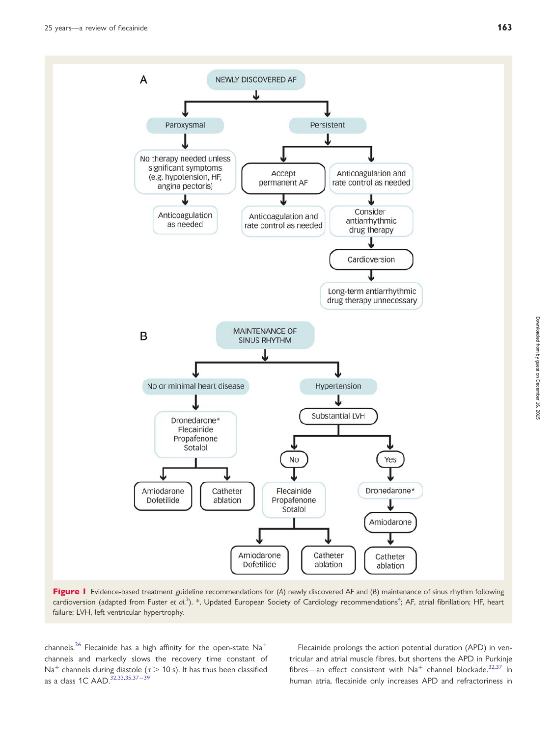by guest on December 16, 2015 Downloaded from

Downloaded from by guest on December 16, 2015

<span id="page-2-0"></span>

Figure 1 Evidence-based treatment guideline recommendations for  $(A)$  newly discovered AF and  $(B)$  maintenance of sinus rhythm following cardioversion (adapted from Fuster et al.<sup>[3](#page-9-0)</sup>). \*, Updated European Society of Cardiology recommendations<sup>[4](#page-9-0)</sup>; AF, atrial fibrillation; HF, heart failure; LVH, left ventricular hypertrophy.

channels.<sup>[36](#page-10-0)</sup> Flecainide has a high affinity for the open-state  $Na^+$ channels and markedly slows the recovery time constant of Na<sup>+</sup> channels during diastole ( $\tau$  > 10 s). It has thus been classified as a class 1C AAD.<sup>[32](#page-10-0),[33,35,37](#page-10-0)-[39](#page-10-0)</sup>

Flecainide prolongs the action potential duration (APD) in ventricular and atrial muscle fibres, but shortens the APD in Purkinje fibres—an effect consistent with  $Na<sup>+</sup>$  channel blockade.<sup>[32,37](#page-10-0)</sup> In human atria, flecainide only increases APD and refractoriness in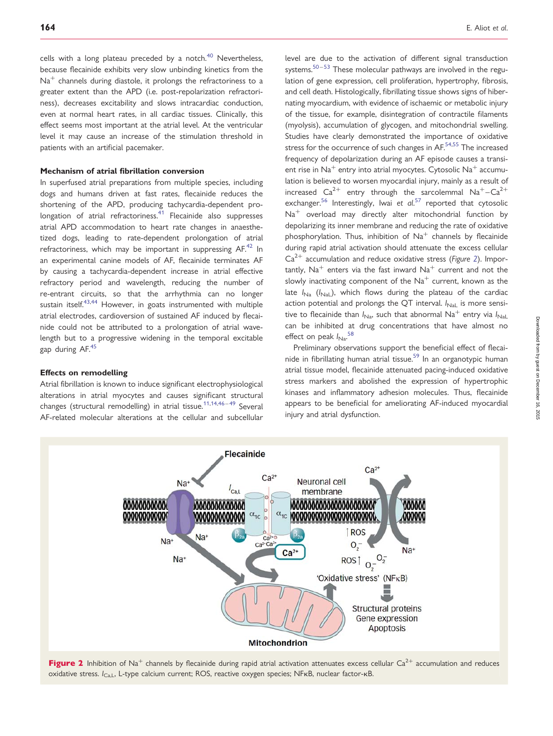cells with a long plateau preceded by a notch.<sup>[40](#page-10-0)</sup> Nevertheless, because flecainide exhibits very slow unbinding kinetics from the  $Na<sup>+</sup>$  channels during diastole, it prolongs the refractoriness to a greater extent than the APD (i.e. post-repolarization refractoriness), decreases excitability and slows intracardiac conduction, even at normal heart rates, in all cardiac tissues. Clinically, this effect seems most important at the atrial level. At the ventricular level it may cause an increase of the stimulation threshold in patients with an artificial pacemaker.

#### Mechanism of atrial fibrillation conversion

In superfused atrial preparations from multiple species, including dogs and humans driven at fast rates, flecainide reduces the shortening of the APD, producing tachycardia-dependent pro-longation of atrial refractoriness.<sup>[41](#page-10-0)</sup> Flecainide also suppresses atrial APD accommodation to heart rate changes in anaesthetized dogs, leading to rate-dependent prolongation of atrial refractoriness, which may be important in suppressing  $AF<sup>42</sup>$  $AF<sup>42</sup>$  $AF<sup>42</sup>$  In an experimental canine models of AF, flecainide terminates AF by causing a tachycardia-dependent increase in atrial effective refractory period and wavelength, reducing the number of re-entrant circuits, so that the arrhythmia can no longer sustain itself.<sup>43,44</sup> However, in goats instrumented with multiple atrial electrodes, cardioversion of sustained AF induced by flecainide could not be attributed to a prolongation of atrial wavelength but to a progressive widening in the temporal excitable gap during AF.<sup>45</sup>

#### Effects on remodelling

Atrial fibrillation is known to induce significant electrophysiological alterations in atrial myocytes and causes significant structural changes (structural remodelling) in atrial tissue.<sup>[11,14,](#page-9-0)[46](#page-10-0)-[49](#page-10-0)</sup> Several AF-related molecular alterations at the cellular and subcellular level are due to the activation of different signal transduction systems.<sup>[50](#page-10-0)-[53](#page-10-0)</sup> These molecular pathways are involved in the regulation of gene expression, cell proliferation, hypertrophy, fibrosis, and cell death. Histologically, fibrillating tissue shows signs of hibernating myocardium, with evidence of ischaemic or metabolic injury of the tissue, for example, disintegration of contractile filaments (myolysis), accumulation of glycogen, and mitochondrial swelling. Studies have clearly demonstrated the importance of oxidative stress for the occurrence of such changes in AF.<sup>[54](#page-10-0),[55](#page-10-0)</sup> The increased frequency of depolarization during an AF episode causes a transient rise in  $Na<sup>+</sup>$  entry into atrial myocytes. Cytosolic  $Na<sup>+</sup>$  accumulation is believed to worsen myocardial injury, mainly as a result of increased  $Ca^{2+}$  entry through the sarcolemmal  $Na^{+}-Ca^{2+}$ exchanger.<sup>[56](#page-10-0)</sup> Interestingly, Iwai et al.<sup>[57](#page-10-0)</sup> reported that cytosolic  $Na<sup>+</sup>$  overload may directly alter mitochondrial function by depolarizing its inner membrane and reducing the rate of oxidative phosphorylation. Thus, inhibition of  $Na<sup>+</sup>$  channels by flecainide during rapid atrial activation should attenuate the excess cellular  $Ca<sup>2+</sup>$  accumulation and reduce oxidative stress (Figure 2). Importantly,  $Na<sup>+</sup>$  enters via the fast inward  $Na<sup>+</sup>$  current and not the slowly inactivating component of the  $Na<sup>+</sup>$  current, known as the late  $I_{N_a}$  ( $I_{N_a}$ ), which flows during the plateau of the cardiac action potential and prolongs the QT interval.  $I_{\text{Nal}}$  is more sensitive to flecainide than  $I_{\text{Na}}$ , such that abnormal  $\text{Na}^+$  entry via  $I_{\text{Na}}$ can be inhibited at drug concentrations that have almost no effect on peak  $I_{\text{Na}}$ .<sup>[58](#page-10-0)</sup>

Preliminary observations support the beneficial effect of flecai-nide in fibrillating human atrial tissue.<sup>[59](#page-10-0)</sup> In an organotypic human atrial tissue model, flecainide attenuated pacing-induced oxidative stress markers and abolished the expression of hypertrophic kinases and inflammatory adhesion molecules. Thus, flecainide appears to be beneficial for ameliorating AF-induced myocardial injury and atrial dysfunction.



**Flecainide** 

oxidative stress.  $I_{\text{Cal}}$ , L-type calcium current; ROS, reactive oxygen species; NFKB, nuclear factor-kB.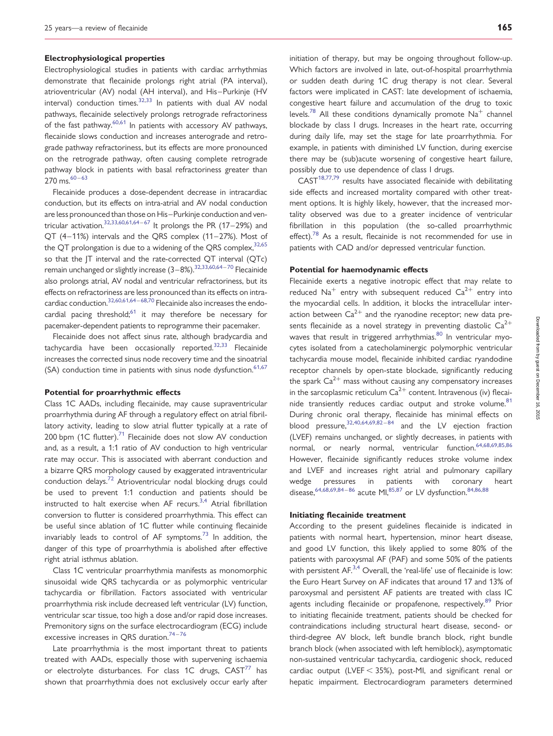#### Electrophysiological properties

Electrophysiological studies in patients with cardiac arrhythmias demonstrate that flecainide prolongs right atrial (PA interval), atrioventricular (AV) nodal (AH interval), and His–Purkinje (HV interval) conduction times. $32,33$  In patients with dual AV nodal pathways, flecainide selectively prolongs retrograde refractoriness of the fast pathway.<sup>60,61</sup> In patients with accessory AV pathways, flecainide slows conduction and increases anterograde and retrograde pathway refractoriness, but its effects are more pronounced on the retrograde pathway, often causing complete retrograde pathway block in patients with basal refractoriness greater than  $270$  ms.  $60 - 63$  $60 - 63$  $60 - 63$ 

Flecainide produces a dose-dependent decrease in intracardiac conduction, but its effects on intra-atrial and AV nodal conduction are less pronounced than those on His–Purkinje conduction and ven-tricular activation.<sup>[32](#page-10-0),[33](#page-10-0),[60](#page-10-0),[61,64](#page-10-0)–[67](#page-10-0)</sup> It prolongs the PR (17–29%) and QT (4–11%) intervals and the QRS complex (11–27%). Most of the QT prolongation is due to a widening of the QRS complex,  $32,65$ so that the JT interval and the rate-corrected QT interval (QTc) remain unchanged or slightly increase (3–8%).<sup>32,33,60,64–[70](#page-11-0)</sup> Flecainide also prolongs atrial, AV nodal and ventricular refractoriness, but its effects on refractoriness are less pronounced than its effects on intra-cardiac conduction.<sup>32,60,61,64–[68,70](#page-11-0)</sup> Flecainide also increases the endocardial pacing threshold; $61$  it may therefore be necessary for pacemaker-dependent patients to reprogramme their pacemaker.

Flecainide does not affect sinus rate, although bradycardia and tachycardia have been occasionally reported. $32,33$  Flecainide increases the corrected sinus node recovery time and the sinoatrial  $(SA)$  conduction time in patients with sinus node dysfunction.<sup>[61,67](#page-10-0)</sup>

#### Potential for proarrhythmic effects

Class 1C AADs, including flecainide, may cause supraventricular proarrhythmia during AF through a regulatory effect on atrial fibrillatory activity, leading to slow atrial flutter typically at a rate of 200 bpm  $(1C$  flutter).<sup>[71](#page-11-0)</sup> Flecainide does not slow AV conduction and, as a result, a 1:1 ratio of AV conduction to high ventricular rate may occur. This is associated with aberrant conduction and a bizarre QRS morphology caused by exaggerated intraventricular conduction delays.[72](#page-11-0) Atrioventricular nodal blocking drugs could be used to prevent 1:1 conduction and patients should be instructed to halt exercise when AF recurs.<sup>[3](#page-9-0),[4](#page-9-0)</sup> Atrial fibrillation conversion to flutter is considered proarrhythmia. This effect can be useful since ablation of 1C flutter while continuing flecainide invariably leads to control of AF symptoms.<sup>[73](#page-11-0)</sup> In addition, the danger of this type of proarrhythmia is abolished after effective right atrial isthmus ablation.

Class 1C ventricular proarrhythmia manifests as monomorphic sinusoidal wide QRS tachycardia or as polymorphic ventricular tachycardia or fibrillation. Factors associated with ventricular proarrhythmia risk include decreased left ventricular (LV) function, ventricular scar tissue, too high a dose and/or rapid dose increases. Premonitory signs on the surface electrocardiogram (ECG) include excessive increases in QRS duration.<sup>[74](#page-11-0)-[76](#page-11-0)</sup>

Late proarrhythmia is the most important threat to patients treated with AADs, especially those with supervening ischaemia or electrolyte disturbances. For class 1C drugs,  $CAST<sup>77</sup>$  $CAST<sup>77</sup>$  $CAST<sup>77</sup>$  has shown that proarrhythmia does not exclusively occur early after

initiation of therapy, but may be ongoing throughout follow-up. Which factors are involved in late, out-of-hospital proarrhythmia or sudden death during 1C drug therapy is not clear. Several factors were implicated in CAST: late development of ischaemia, congestive heart failure and accumulation of the drug to toxic levels.<sup>[78](#page-11-0)</sup> All these conditions dynamically promote  $Na<sup>+</sup>$  channel blockade by class I drugs. Increases in the heart rate, occurring during daily life, may set the stage for late proarrhythmia. For example, in patients with diminished LV function, during exercise there may be (sub)acute worsening of congestive heart failure, possibly due to use dependence of class I drugs.

CAST[18,](#page-9-0)[77,79](#page-11-0) results have associated flecainide with debilitating side effects and increased mortality compared with other treatment options. It is highly likely, however, that the increased mortality observed was due to a greater incidence of ventricular fibrillation in this population (the so-called proarrhythmic effect).<sup>[78](#page-11-0)</sup> As a result, flecainide is not recommended for use in patients with CAD and/or depressed ventricular function.

#### Potential for haemodynamic effects

Flecainide exerts a negative inotropic effect that may relate to reduced  $Na<sup>+</sup>$  entry with subsequent reduced  $Ca<sup>2+</sup>$  entry into the myocardial cells. In addition, it blocks the intracellular interaction between  $Ca^{2+}$  and the ryanodine receptor; new data presents flecainide as a novel strategy in preventing diastolic  $Ca^{2+}$ waves that result in triggered arrhythmias.<sup>[80](#page-11-0)</sup> In ventricular myocytes isolated from a catecholaminergic polymorphic ventricular tachycardia mouse model, flecainide inhibited cardiac ryandodine receptor channels by open-state blockade, significantly reducing the spark  $Ca^{2+}$  mass without causing any compensatory increases in the sarcoplasmic reticulum  $Ca^{2+}$  content. Intravenous (iv) flecai-nide transiently reduces cardiac output and stroke volume.<sup>[81](#page-11-0)</sup> During chronic oral therapy, flecainide has minimal effects on blood pressure,  $32,40,64,69,82-84$  $32,40,64,69,82-84$  $32,40,64,69,82-84$  $32,40,64,69,82-84$  $32,40,64,69,82-84$  $32,40,64,69,82-84$  $32,40,64,69,82-84$  $32,40,64,69,82-84$  and the LV ejection fraction (LVEF) remains unchanged, or slightly decreases, in patients with normal, or nearly normal, ventricular function.<sup>[64,](#page-10-0)[68,69,85,86](#page-11-0)</sup> However, flecainide significantly reduces stroke volume index and LVEF and increases right atrial and pulmonary capillary wedge pressures in patients with coronary heart disease,  $64,68,69,84-86$  $64,68,69,84-86$  $64,68,69,84-86$  $64,68,69,84-86$  $64,68,69,84-86$  $64,68,69,84-86$  $64,68,69,84-86$  $64,68,69,84-86$  acute MI,  $85,87$  $85,87$  $85,87$  or LV dysfunction.  $84,86,88$  $84,86,88$ 

#### Initiating flecainide treatment

According to the present guidelines flecainide is indicated in patients with normal heart, hypertension, minor heart disease, and good LV function, this likely applied to some 80% of the patients with paroxysmal AF (PAF) and some 50% of the patients with persistent  $AF^{3,4}$  $AF^{3,4}$  $AF^{3,4}$  $AF^{3,4}$  $AF^{3,4}$  Overall, the 'real-life' use of flecainide is low: the Euro Heart Survey on AF indicates that around 17 and 13% of paroxysmal and persistent AF patients are treated with class IC agents including flecainide or propafenone, respectively.<sup>[89](#page-11-0)</sup> Prior to initiating flecainide treatment, patients should be checked for contraindications including structural heart disease, second- or third-degree AV block, left bundle branch block, right bundle branch block (when associated with left hemiblock), asymptomatic non-sustained ventricular tachycardia, cardiogenic shock, reduced cardiac output (LVEF  $<$  35%), post-MI, and significant renal or hepatic impairment. Electrocardiogram parameters determined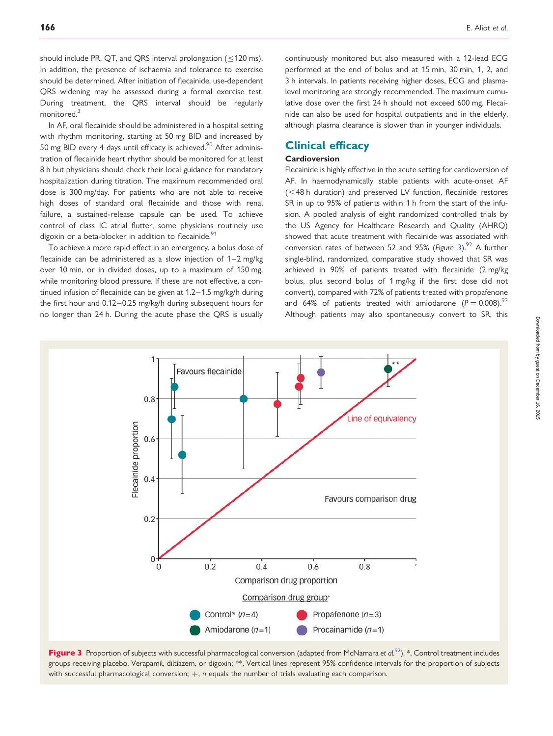should include PR, QT, and QRS interval prolongation ( $\leq$ 120 ms). In addition, the presence of ischaemia and tolerance to exercise should be determined. After initiation of flecainide, use-dependent QRS widening may be assessed during a formal exercise test. During treatment, the QRS interval should be regularly monitored.<sup>3</sup>

In AF, oral flecainide should be administered in a hospital setting with rhythm monitoring, starting at 50 mg BID and increased by 50 mg BID every 4 days until efficacy is achieved.<sup>90</sup> After administration of flecainide heart rhythm should be monitored for at least 8 h but physicians should check their local guidance for mandatory hospitalization during titration. The maximum recommended oral dose is 300 mg/day. For patients who are not able to receive high doses of standard oral flecainide and those with renal failure, a sustained-release capsule can be used. To achieve control of class IC atrial flutter, some physicians routinely use digoxin or a beta-blocker in addition to flecainide. $91$ 

To achieve a more rapid effect in an emergency, a bolus dose of flecainide can be administered as a slow injection of  $1-2$  mg/kg over 10 min, or in divided doses, up to a maximum of 150 mg, while monitoring blood pressure. If these are not effective, a continued infusion of flecainide can be given at 1.2–1.5 mg/kg/h during the first hour and 0.12–0.25 mg/kg/h during subsequent hours for no longer than 24 h. During the acute phase the QRS is usually

continuously monitored but also measured with a 12-lead ECG performed at the end of bolus and at 15 min, 30 min, 1, 2, and 3 h intervals. In patients receiving higher doses, ECG and plasmalevel monitoring are strongly recommended. The maximum cumulative dose over the first 24 h should not exceed 600 mg. Flecainide can also be used for hospital outpatients and in the elderly, although plasma clearance is slower than in younger individuals.

# Clinical efficacy

### Cardioversion

Flecainide is highly effective in the acute setting for cardioversion of AF. In haemodynamically stable patients with acute-onset AF  $(<$ 48 h duration) and preserved LV function, flecainide restores SR in up to 95% of patients within 1 h from the start of the infusion. A pooled analysis of eight randomized controlled trials by the US Agency for Healthcare Research and Quality (AHRQ) showed that acute treatment with flecainide was associated with conversion rates of between 52 and 95% (Figure 3).<sup>92</sup> A further single-blind, randomized, comparative study showed that SR was achieved in 90% of patients treated with flecainide (2 mg/kg bolus, plus second bolus of 1 mg/kg if the first dose did not convert), compared with 72% of patients treated with propafenone and 64% of patients treated with amiodarone ( $P = 0.008$ ).<sup>[93](#page-11-0)</sup> Although patients may also spontaneously convert to SR, this



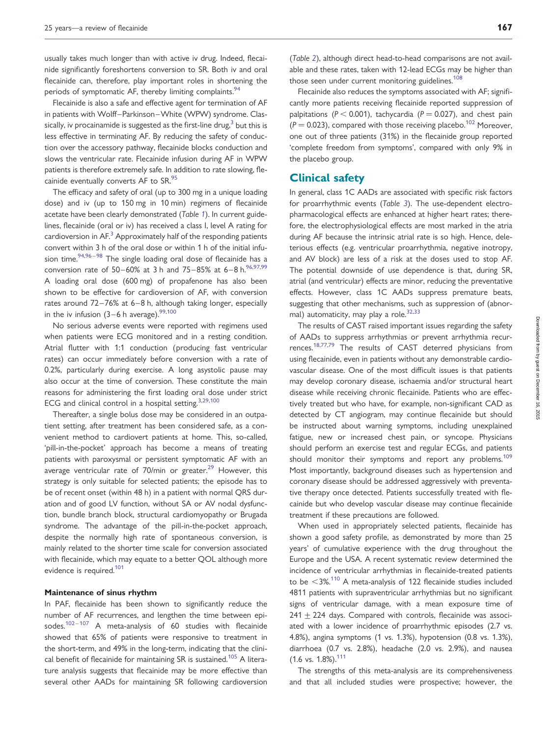usually takes much longer than with active iv drug. Indeed, flecainide significantly foreshortens conversion to SR. Both iv and oral flecainide can, therefore, play important roles in shortening the periods of symptomatic AF, thereby limiting complaints.<sup>[94](#page-11-0)</sup>

Flecainide is also a safe and effective agent for termination of AF in patients with Wolff–Parkinson–White (WPW) syndrome. Classically, iv procainamide is suggested as the first-line drug, $3$  but this is less effective in terminating AF. By reducing the safety of conduction over the accessory pathway, flecainide blocks conduction and slows the ventricular rate. Flecainide infusion during AF in WPW patients is therefore extremely safe. In addition to rate slowing, fle-cainide eventually converts AF to SR.<sup>[95](#page-11-0)</sup>

The efficacy and safety of oral (up to 300 mg in a unique loading dose) and iv (up to 150 mg in 10 min) regimens of flecainide acetate have been clearly demonstrated (Table [1](#page-7-0)). In current guidelines, flecainide (oral or iv) has received a class I, level A rating for cardioversion in  $AF^3$  $AF^3$  Approximately half of the responding patients convert within 3 h of the oral dose or within 1 h of the initial infusion time. $94,96 - 98$  $94,96 - 98$  $94,96 - 98$  The single loading oral dose of flecainide has a conversion rate of 50–60% at 3 h and 75–85% at 6–8 h.<sup>[96,97,99](#page-11-0)</sup> A loading oral dose (600 mg) of propafenone has also been shown to be effective for cardioversion of AF, with conversion rates around 72–76% at 6–8 h, although taking longer, especially in the iv infusion  $(3-6 \text{ h} \text{ average})$ .<sup>[99](#page-11-0),[100](#page-11-0)</sup>

No serious adverse events were reported with regimens used when patients were ECG monitored and in a resting condition. Atrial flutter with 1:1 conduction (producing fast ventricular rates) can occur immediately before conversion with a rate of 0.2%, particularly during exercise. A long asystolic pause may also occur at the time of conversion. These constitute the main reasons for administering the first loading oral dose under strict ECG and clinical control in a hospital setting.<sup>[3,](#page-9-0)[29](#page-10-0)[,100](#page-11-0)</sup>

Thereafter, a single bolus dose may be considered in an outpatient setting, after treatment has been considered safe, as a convenient method to cardiovert patients at home. This, so-called, 'pill-in-the-pocket' approach has become a means of treating patients with paroxysmal or persistent symptomatic AF with an average ventricular rate of  $70$ /min or greater. $^{29}$  $^{29}$  $^{29}$  However, this strategy is only suitable for selected patients; the episode has to be of recent onset (within 48 h) in a patient with normal QRS duration and of good LV function, without SA or AV nodal dysfunction, bundle branch block, structural cardiomyopathy or Brugada syndrome. The advantage of the pill-in-the-pocket approach, despite the normally high rate of spontaneous conversion, is mainly related to the shorter time scale for conversion associated with flecainide, which may equate to a better QOL although more evidence is required.<sup>101</sup>

#### Maintenance of sinus rhythm

In PAF, flecainide has been shown to significantly reduce the number of AF recurrences, and lengthen the time between epi-sodes.<sup>[102](#page-11-0)-[107](#page-11-0)</sup> A meta-analysis of 60 studies with flecainide showed that 65% of patients were responsive to treatment in the short-term, and 49% in the long-term, indicating that the clini-cal benefit of flecainide for maintaining SR is sustained.<sup>[105](#page-11-0)</sup> A literature analysis suggests that flecainide may be more effective than several other AADs for maintaining SR following cardioversion

(Table [2](#page-8-0)), although direct head-to-head comparisons are not available and these rates, taken with 12-lead ECGs may be higher than those seen under current monitoring guidelines.<sup>108</sup>

Flecainide also reduces the symptoms associated with AF; significantly more patients receiving flecainide reported suppression of palpitations ( $P < 0.001$ ), tachycardia ( $P = 0.027$ ), and chest pain  $(P = 0.023)$ , compared with those receiving placebo.<sup>[102](#page-11-0)</sup> Moreover, one out of three patients (31%) in the flecainide group reported 'complete freedom from symptoms', compared with only 9% in the placebo group.

### Clinical safety

In general, class 1C AADs are associated with specific risk factors for proarrhythmic events (Table [3](#page-8-0)). The use-dependent electropharmacological effects are enhanced at higher heart rates; therefore, the electrophysiological effects are most marked in the atria during AF because the intrinsic atrial rate is so high. Hence, deleterious effects (e.g. ventricular proarrhythmia, negative inotropy, and AV block) are less of a risk at the doses used to stop AF. The potential downside of use dependence is that, during SR, atrial (and ventricular) effects are minor, reducing the preventative effects. However, class 1C AADs suppress premature beats, suggesting that other mechanisms, such as suppression of (abnor-mal) automaticity, may play a role.<sup>[32,33](#page-10-0)</sup>

The results of CAST raised important issues regarding the safety of AADs to suppress arrhythmias or prevent arrhythmia recurrences.[18](#page-9-0),[77](#page-11-0),[79](#page-11-0) The results of CAST deterred physicians from using flecainide, even in patients without any demonstrable cardiovascular disease. One of the most difficult issues is that patients may develop coronary disease, ischaemia and/or structural heart disease while receiving chronic flecainide. Patients who are effectively treated but who have, for example, non-significant CAD as detected by CT angiogram, may continue flecainide but should be instructed about warning symptoms, including unexplained fatigue, new or increased chest pain, or syncope. Physicians should perform an exercise test and regular ECGs, and patients should monitor their symptoms and report any problems.<sup>[109](#page-11-0)</sup> Most importantly, background diseases such as hypertension and coronary disease should be addressed aggressively with preventative therapy once detected. Patients successfully treated with flecainide but who develop vascular disease may continue flecainide treatment if these precautions are followed.

When used in appropriately selected patients, flecainide has shown a good safety profile, as demonstrated by more than 25 years' of cumulative experience with the drug throughout the Europe and the USA. A recent systematic review determined the incidence of ventricular arrhythmias in flecainide-treated patients to be  $\leq$ 3%.<sup>[110](#page-11-0)</sup> A meta-analysis of 122 flecainide studies included 4811 patients with supraventricular arrhythmias but no significant signs of ventricular damage, with a mean exposure time of  $241 + 224$  days. Compared with controls, flecainide was associated with a lower incidence of proarrhythmic episodes (2.7 vs. 4.8%), angina symptoms (1 vs. 1.3%), hypotension (0.8 vs. 1.3%), diarrhoea (0.7 vs. 2.8%), headache (2.0 vs. 2.9%), and nausea  $(1.6 \text{ vs. } 1.8\%).$ <sup>[111](#page-11-0)</sup>

The strengths of this meta-analysis are its comprehensiveness and that all included studies were prospective; however, the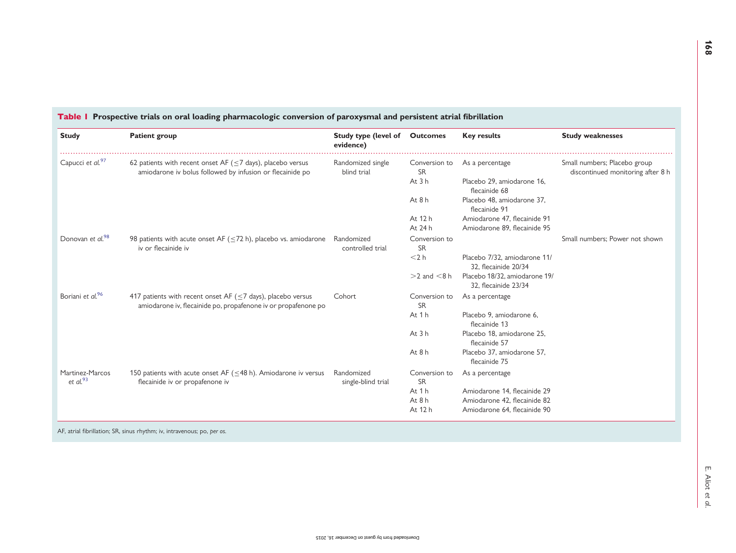<span id="page-7-0"></span>

| <b>Study</b>                   | <b>Patient group</b>                                                                                                                 | <b>Study type (level of Outcomes</b><br>evidence) |                                      | <b>Key results</b>                                           | <b>Study weaknesses</b>                                           |
|--------------------------------|--------------------------------------------------------------------------------------------------------------------------------------|---------------------------------------------------|--------------------------------------|--------------------------------------------------------------|-------------------------------------------------------------------|
| Capucci et al. <sup>97</sup>   | 62 patients with recent onset AF ( $\leq$ 7 days), placebo versus<br>amiodarone iv bolus followed by infusion or flecainide po       | Randomized single<br>blind trial                  | Conversion to<br><b>SR</b><br>At 3 h | As a percentage<br>Placebo 29, amiodarone 16,                | Small numbers; Placebo group<br>discontinued monitoring after 8 h |
|                                |                                                                                                                                      |                                                   | At $8h$                              | flecainide 68<br>Placebo 48, amiodarone 37,<br>flecainide 91 |                                                                   |
|                                |                                                                                                                                      |                                                   | At 12 h<br>At 24 h                   | Amiodarone 47, flecainide 91<br>Amiodarone 89, flecainide 95 |                                                                   |
| Donovan et al. <sup>98</sup>   | 98 patients with acute onset AF ( $\leq$ 72 h), placebo vs. amiodarone<br>iv or flecainide iv                                        | Randomized<br>controlled trial                    | Conversion to<br><b>SR</b>           |                                                              | Small numbers: Power not shown                                    |
|                                |                                                                                                                                      |                                                   | $<$ 2 $h$                            | Placebo 7/32, amiodarone 11/<br>32. flecainide 20/34         |                                                                   |
|                                |                                                                                                                                      |                                                   | $>2$ and $< 8$ h                     | Placebo 18/32, amiodarone 19/<br>32, flecainide 23/34        |                                                                   |
| Boriani et al. <sup>96</sup>   | 417 patients with recent onset AF ( $\leq$ 7 days), placebo versus<br>amiodarone iv, flecainide po, propafenone iv or propafenone po | Cohort                                            | Conversion to<br><b>SR</b>           | As a percentage                                              |                                                                   |
|                                |                                                                                                                                      |                                                   | At 1 h                               | Placebo 9, amiodarone 6,<br>flecainide 13                    |                                                                   |
|                                |                                                                                                                                      |                                                   | At 3 h                               | Placebo 18, amiodarone 25,<br>flecainide 57                  |                                                                   |
|                                |                                                                                                                                      |                                                   | At 8 h                               | Placebo 37, amiodarone 57,<br>flecainide 75                  |                                                                   |
| Martinez-Marcos<br>et al. $93$ | 150 patients with acute onset AF ( $\leq$ 48 h). Amiodarone iv versus<br>flecainide iv or propafenone iv                             | Randomized<br>single-blind trial                  | Conversion to<br><b>SR</b>           | As a percentage                                              |                                                                   |
|                                |                                                                                                                                      |                                                   | At 1 h                               | Amiodarone 14, flecainide 29                                 |                                                                   |
|                                |                                                                                                                                      |                                                   | At $8h$<br>At 12 h                   | Amiodarone 42, flecainide 82<br>Amiodarone 64, flecainide 90 |                                                                   |

AF, atrial fibrillation; SR, sinus rhythm; iv, intravenous; po, per os.

168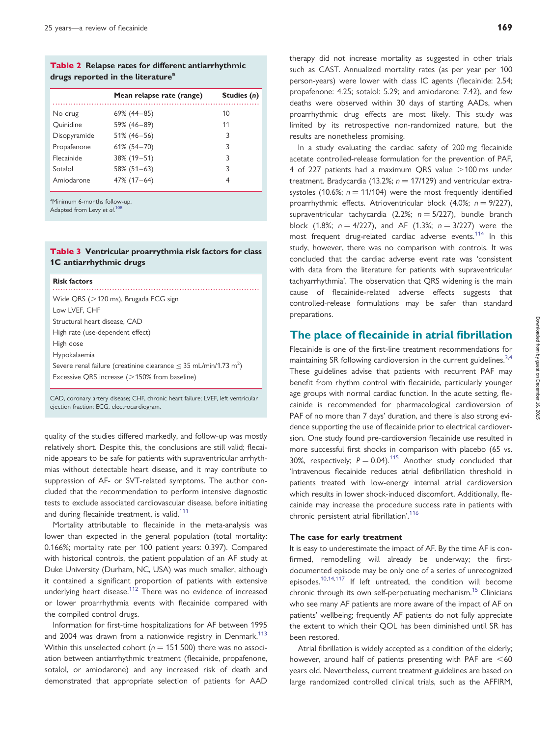#### <span id="page-8-0"></span>Table 2 Relapse rates for different antiarrhythmic drugs reported in the literature<sup>a</sup>

|              | Mean relapse rate (range) | Studies (n) |
|--------------|---------------------------|-------------|
| No drug      | $69\%$ (44 - 85)          | 10          |
| Quinidine    | 59% (46-89)               | 11          |
| Disopyramide | $51\%$ (46-56)            | 3           |
| Propafenone  | $61\%$ (54-70)            | 3           |
| Flecainide   | $38\%$ (19-51)            | 3           |
| Sotalol      | $58\%$ (51-63)            | ς           |
| Amiodarone   | $47\%$ (17 – 64)          | 4           |

<sup>a</sup>Minimum 6-months follow-up. Adapted from Levy et al.<sup>[108](#page-11-0)</sup>

#### Table 3 Ventricular proarrythmia risk factors for class 1C antiarrhythmic drugs

#### Risk factors

| Wide QRS (>120 ms), Brugada ECG sign                                              |
|-----------------------------------------------------------------------------------|
| Low LVEF, CHF                                                                     |
| Structural heart disease, CAD                                                     |
| High rate (use-dependent effect)                                                  |
| High dose                                                                         |
| Hypokalaemia                                                                      |
| Severe renal failure (creatinine clearance $\leq$ 35 mL/min/1.73 m <sup>2</sup> ) |
| Excessive QRS increase $(>150\%$ from baseline)                                   |
|                                                                                   |

CAD, coronary artery disease; CHF, chronic heart failure; LVEF, left ventricular ejection fraction; ECG, electrocardiogram.

quality of the studies differed markedly, and follow-up was mostly relatively short. Despite this, the conclusions are still valid; flecainide appears to be safe for patients with supraventricular arrhythmias without detectable heart disease, and it may contribute to suppression of AF- or SVT-related symptoms. The author concluded that the recommendation to perform intensive diagnostic tests to exclude associated cardiovascular disease, before initiating and during flecainide treatment, is valid.<sup>111</sup>

Mortality attributable to flecainide in the meta-analysis was lower than expected in the general population (total mortality: 0.166%; mortality rate per 100 patient years: 0.397). Compared with historical controls, the patient population of an AF study at Duke University (Durham, NC, USA) was much smaller, although it contained a significant proportion of patients with extensive underlying heart disease.<sup>[112](#page-11-0)</sup> There was no evidence of increased or lower proarrhythmia events with flecainide compared with the compiled control drugs.

Information for first-time hospitalizations for AF between 1995 and 2004 was drawn from a nationwide registry in Denmark.<sup>[113](#page-11-0)</sup> Within this unselected cohort ( $n = 151 500$ ) there was no association between antiarrhythmic treatment (flecainide, propafenone, sotalol, or amiodarone) and any increased risk of death and demonstrated that appropriate selection of patients for AAD therapy did not increase mortality as suggested in other trials such as CAST. Annualized mortality rates (as per year per 100 person-years) were lower with class IC agents (flecainide: 2.54; propafenone: 4.25; sotalol: 5.29; and amiodarone: 7.42), and few deaths were observed within 30 days of starting AADs, when proarrhythmic drug effects are most likely. This study was limited by its retrospective non-randomized nature, but the results are nonetheless promising.

In a study evaluating the cardiac safety of 200 mg flecainide acetate controlled-release formulation for the prevention of PAF, 4 of 227 patients had a maximum QRS value  $>$  100 ms under treatment. Bradycardia (13.2%;  $n = 17/129$ ) and ventricular extrasystoles (10.6%;  $n = 11/104$ ) were the most frequently identified proarrhythmic effects. Atrioventricular block (4.0%;  $n = 9/227$ ), supraventricular tachycardia (2.2%;  $n = 5/227$ ), bundle branch block (1.8%;  $n = 4/227$ ), and AF (1.3%;  $n = 3/227$ ) were the most frequent drug-related cardiac adverse events.<sup>[114](#page-11-0)</sup> In this study, however, there was no comparison with controls. It was concluded that the cardiac adverse event rate was 'consistent with data from the literature for patients with supraventricular tachyarrhythmia'. The observation that QRS widening is the main cause of flecainide-related adverse effects suggests that controlled-release formulations may be safer than standard preparations.

# The place of flecainide in atrial fibrillation

Flecainide is one of the first-line treatment recommendations for maintaining SR following cardioversion in the current guidelines.<sup>[3](#page-9-0),[4](#page-9-0)</sup> These guidelines advise that patients with recurrent PAF may benefit from rhythm control with flecainide, particularly younger age groups with normal cardiac function. In the acute setting, flecainide is recommended for pharmacological cardioversion of PAF of no more than 7 days' duration, and there is also strong evidence supporting the use of flecainide prior to electrical cardioversion. One study found pre-cardioversion flecainide use resulted in more successful first shocks in comparison with placebo (65 vs. 30%, respectively;  $P = 0.04$ ).<sup>[115](#page-11-0)</sup> Another study concluded that 'Intravenous flecainide reduces atrial defibrillation threshold in patients treated with low-energy internal atrial cardioversion which results in lower shock-induced discomfort. Additionally, flecainide may increase the procedure success rate in patients with chronic persistent atrial fibrillation'.[116](#page-11-0)

#### The case for early treatment

It is easy to underestimate the impact of AF. By the time AF is confirmed, remodelling will already be underway; the firstdocumented episode may be only one of a series of unrecognized episodes.[10,14](#page-9-0)[,117](#page-12-0) If left untreated, the condition will become chronic through its own self-perpetuating mechanism.<sup>15</sup> Clinicians who see many AF patients are more aware of the impact of AF on patients' wellbeing; frequently AF patients do not fully appreciate the extent to which their QOL has been diminished until SR has been restored.

Atrial fibrillation is widely accepted as a condition of the elderly; however, around half of patients presenting with PAF are  $<60$ years old. Nevertheless, current treatment guidelines are based on large randomized controlled clinical trials, such as the AFFIRM,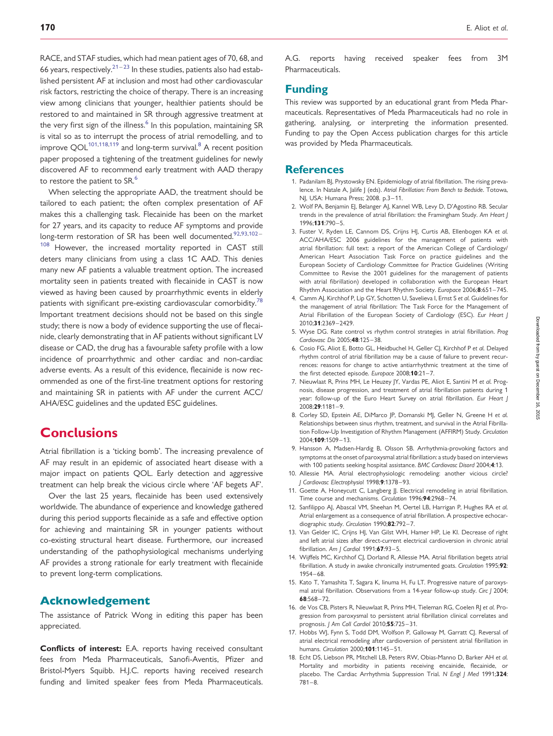<span id="page-9-0"></span>RACE, and STAF studies, which had mean patient ages of 70, 68, and 66 years, respectively.<sup>21-[23](#page-10-0)</sup> In these studies, patients also had established persistent AF at inclusion and most had other cardiovascular risk factors, restricting the choice of therapy. There is an increasing view among clinicians that younger, healthier patients should be restored to and maintained in SR through aggressive treatment at the very first sign of the illness.<sup>6</sup> In this population, maintaining SR is vital so as to interrupt the process of atrial remodelling, and to improve  $\text{QOL}^{101,118,119}$  $\text{QOL}^{101,118,119}$  $\text{QOL}^{101,118,119}$  $\text{QOL}^{101,118,119}$  and long-term survival.<sup>8</sup> A recent position paper proposed a tightening of the treatment guidelines for newly discovered AF to recommend early treatment with AAD therapy to restore the patient to SR.<sup>6</sup>

When selecting the appropriate AAD, the treatment should be tailored to each patient; the often complex presentation of AF makes this a challenging task. Flecainide has been on the market for 27 years, and its capacity to reduce AF symptoms and provide long-term restoration of SR has been well documented.<sup>[92,93,102](#page-11-0)</sup>-[108](#page-11-0) However, the increased mortality reported in CAST still deters many clinicians from using a class 1C AAD. This denies many new AF patients a valuable treatment option. The increased mortality seen in patients treated with flecainide in CAST is now viewed as having been caused by proarrhythmic events in elderly patients with significant pre-existing cardiovascular comorbidity.<sup>78</sup> Important treatment decisions should not be based on this single study; there is now a body of evidence supporting the use of flecainide, clearly demonstrating that in AF patients without significant LV disease or CAD, the drug has a favourable safety profile with a low incidence of proarrhythmic and other cardiac and non-cardiac adverse events. As a result of this evidence, flecainide is now recommended as one of the first-line treatment options for restoring and maintaining SR in patients with AF under the current ACC/ AHA/ESC guidelines and the updated ESC guidelines.

# **Conclusions**

Atrial fibrillation is a 'ticking bomb'. The increasing prevalence of AF may result in an epidemic of associated heart disease with a major impact on patients QOL. Early detection and aggressive treatment can help break the vicious circle where 'AF begets AF'.

Over the last 25 years, flecainide has been used extensively worldwide. The abundance of experience and knowledge gathered during this period supports flecainide as a safe and effective option for achieving and maintaining SR in younger patients without co-existing structural heart disease. Furthermore, our increased understanding of the pathophysiological mechanisms underlying AF provides a strong rationale for early treatment with flecainide to prevent long-term complications.

# Acknowledgement

The assistance of Patrick Wong in editing this paper has been appreciated.

Conflicts of interest: E.A. reports having received consultant fees from Meda Pharmaceuticals, Sanofi-Aventis, Pfizer and Bristol-Myers Squibb. H.J.C. reports having received research funding and limited speaker fees from Meda Pharmaceuticals.

A.G. reports having received speaker fees from 3M Pharmaceuticals.

# Funding

This review was supported by an educational grant from Meda Pharmaceuticals. Representatives of Meda Pharmaceuticals had no role in gathering, analysing, or interpreting the information presented. Funding to pay the Open Access publication charges for this article was provided by Meda Pharmaceuticals.

### **References**

- 1. Padanilam BJ, Prystowsky EN. Epidemiology of atrial fibrillation. The rising prevalence. In Natale A, Jalife J (eds). Atrial Fibrillation: From Bench to Bedside. Totowa, NJ, USA: Humana Press; 2008. p.3–11.
- 2. Wolf PA, Benjamin EJ, Belanger AJ, Kannel WB, Levy D, D'Agostino RB. Secular trends in the prevalence of atrial fibrillation: the Framingham Study. Am Heart J 1996;131:790–5.
- 3. Fuster V, Ryden LE, Cannom DS, Crijns HJ, Curtis AB, Ellenbogen KA et al. ACC/AHA/ESC 2006 guidelines for the management of patients with atrial fibrillation: full text: a report of the American College of Cardiology/ American Heart Association Task Force on practice guidelines and the European Society of Cardiology Committee for Practice Guidelines (Writing Committee to Revise the 2001 guidelines for the management of patients with atrial fibrillation) developed in collaboration with the European Heart Rhythm Association and the Heart Rhythm Society. Europace 2006;8:651–745.
- 4. Camm AJ, Kirchhof P, Lip GY, Schotten U, Savelieva I, Ernst S et al. Guidelines for the management of atrial fibrillation: The Task Force for the Management of Atrial Fibrillation of the European Society of Cardiology (ESC). Eur Heart J 2010;31:2369–2429.
- 5. Wyse DG. Rate control vs rhythm control strategies in atrial fibrillation. Prog Cardiovasc Dis 2005;48:125–38.
- 6. Cosio FG, Aliot E, Botto GL, Heidbuchel H, Geller CJ, Kirchhof P et al. Delayed rhythm control of atrial fibrillation may be a cause of failure to prevent recurrences: reasons for change to active antiarrhythmic treatment at the time of the first detected episode. Europace 2008;10:21-7.
- 7. Nieuwlaat R, Prins MH, Le Heuzey JY, Vardas PE, Aliot E, Santini M et al. Prognosis, disease progression, and treatment of atrial fibrillation patients during 1 year: follow-up of the Euro Heart Survey on atrial fibrillation. Eur Heart J 2008;29:1181–9.
- 8. Corley SD, Epstein AE, DiMarco JP, Domanski MJ, Geller N, Greene H et al. Relationships between sinus rhythm, treatment, and survival in the Atrial Fibrillation Follow-Up Investigation of Rhythm Management (AFFIRM) Study. Circulation 2004;109:1509–13.
- 9. Hansson A, Madsen-Hardig B, Olsson SB. Arrhythmia-provoking factors and symptoms at the onset of paroxysmal atrial fibrillation: a study based on interviews with 100 patients seeking hospital assistance. BMC Cardiovasc Disord 2004;4:13.
- 10. Allessie MA. Atrial electrophysiologic remodeling: another vicious circle? J Cardiovasc Electrophysiol 1998;9:1378–93.
- 11. Goette A, Honeycutt C, Langberg JJ. Electrical remodeling in atrial fibrillation. Time course and mechanisms. Circulation 1996;94:2968–74.
- 12. Sanfilippo AJ, Abascal VM, Sheehan M, Oertel LB, Harrigan P, Hughes RA et al. Atrial enlargement as a consequence of atrial fibrillation. A prospective echocardiographic study. Circulation 1990;82:792-7.
- 13. Van Gelder IC, Crijns HJ, Van Gilst WH, Hamer HP, Lie KI. Decrease of right and left atrial sizes after direct-current electrical cardioversion in chronic atrial fibrillation. Am J Cardiol  $1991;67:93-5$ .
- 14. Wijffels MC, Kirchhof CJ, Dorland R, Allessie MA. Atrial fibrillation begets atrial fibrillation. A study in awake chronically instrumented goats. Circulation 1995;92: 1954–68.
- 15. Kato T, Yamashita T, Sagara K, Iinuma H, Fu LT. Progressive nature of paroxysmal atrial fibrillation. Observations from a 14-year follow-up study. Circ J 2004; 68:568–72.
- 16. de Vos CB, Pisters R, Nieuwlaat R, Prins MH, Tieleman RG, Coelen RJ et al. Progression from paroxysmal to persistent atrial fibrillation clinical correlates and prognosis. J Am Coll Cardiol 2010;55:725-31.
- 17. Hobbs WJ, Fynn S, Todd DM, Wolfson P, Galloway M, Garratt CJ. Reversal of atrial electrical remodeling after cardioversion of persistent atrial fibrillation in humans. Circulation 2000;101:1145-51.
- 18. Echt DS, Liebson PR, Mitchell LB, Peters RW, Obias-Manno D, Barker AH et al. Mortality and morbidity in patients receiving encainide, flecainide, or placebo. The Cardiac Arrhythmia Suppression Trial. N Engl J Med 1991;324: 781–8.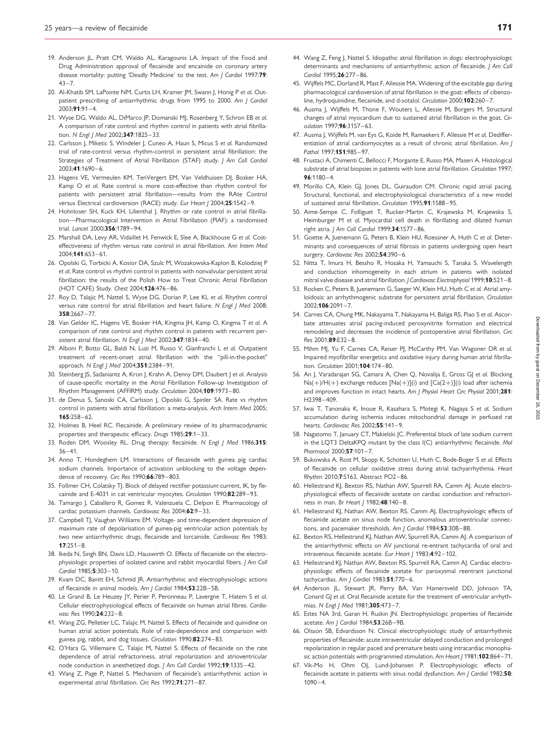- <span id="page-10-0"></span>19. Anderson JL, Pratt CM, Waldo AL, Karagounis LA. Impact of the Food and Drug Administration approval of flecainide and encainide on coronary artery disease mortality: putting 'Deadly Medicine' to the test. Am J Cardiol 1997;79:  $43 - 7$ .
- 20. Al-Khatib SM, LaPointe NM, Curtis LH, Kramer JM, Swann J, Honig P et al. Outpatient prescribing of antiarrhythmic drugs from 1995 to 2000. Am J Cardiol  $2003.91.91 - 4$
- 21. Wyse DG, Waldo AL, DiMarco JP, Domanski MJ, Rosenberg Y, Schron EB et al. A comparison of rate control and rhythm control in patients with atrial fibrillation. N Engl | Med 2002;347:1825-33.
- 22. Carlsson J, Miketic S, Windeler J, Cuneo A, Haun S, Micus S et al. Randomized trial of rate-control versus rhythm-control in persistent atrial fibrillation: the Strategies of Treatment of Atrial Fibrillation (STAF) study. J Am Coll Cardiol 2003;41:1690–6.
- 23. Hagens VE, Vermeulen KM, TenVergert EM, Van Veldhuisen DJ, Bosker HA, Kamp O et al. Rate control is more cost-effective than rhythm control for patients with persistent atrial fibrillation—results from the RAte Control versus Electrical cardioversion (RACE) study. Eur Heart J 2004;25:1542-9.
- 24. Hohnloser SH, Kuck KH, Lilienthal J, Rhythm or rate control in atrial fibrillation—Pharmacological Intervention in Atrial Fibrillation (PIAF): a randomised trial. Lancet 2000;356:1789–94.
- 25. Marshall DA, Levy AR, Vidaillet H, Fenwick E, Slee A, Blackhouse G et al. Costeffectiveness of rhythm versus rate control in atrial fibrillation. Ann Intern Med 2004;141:653–61.
- 26. Opolski G, Torbicki A, Kosior DA, Szulc M, Wozakowska-Kaplon B, Kolodziej P et al. Rate control vs rhythm control in patients with nonvalvular persistent atrial fibrillation: the results of the Polish How to Treat Chronic Atrial Fibrillation (HOT CAFE) Study. Chest 2004;126:476–86.
- 27. Roy D, Talajic M, Nattel S, Wyse DG, Dorian P, Lee KL et al. Rhythm control versus rate control for atrial fibrillation and heart failure. N Engl J Med 2008; 358:2667–77.
- 28. Van Gelder IC, Hagens VE, Bosker HA, Kingma JH, Kamp O, Kingma T et al. A comparison of rate control and rhythm control in patients with recurrent persistent atrial fibrillation. N Engl J Med 2002;347:1834-40.
- 29. Alboni P, Botto GL, Baldi N, Luzi M, Russo V, Gianfranchi L et al. Outpatient treatment of recent-onset atrial fibrillation with the "pill-in-the-pocket" approach. N Engl | Med 2004;351:2384-91.
- 30. Steinberg JS, Sadaniantz A, Kron J, Krahn A, Denny DM, Daubert J et al. Analysis of cause-specific mortality in the Atrial Fibrillation Follow-up Investigation of Rhythm Management (AFFIRM) study. Circulation 2004;109:1973–80.
- 31. de Denus S, Sanoski CA, Carlsson J, Opolski G, Spinler SA. Rate vs rhythm control in patients with atrial fibrillation: a meta-analysis. Arch Intern Med 2005; 165:258–62.
- 32. Holmes B, Heel RC. Flecainide. A preliminary review of its pharmacodynamic properties and therapeutic efficacy. Drugs 1985;29:1–33.
- 33. Roden DM, Woosley RL. Drug therapy: flecainide. N Engl J Med 1986;315: 36–41.
- 34. Anno T, Hondeghem LM. Interactions of flecainide with guinea pig cardiac sodium channels. Importance of activation unblocking to the voltage dependence of recovery. Circ Res 1990;66:789–803.
- 35. Follmer CH, Colatsky TJ. Block of delayed rectifier potassium current, IK, by flecainide and E-4031 in cat ventricular myocytes. Circulation 1990;82:289–93.
- 36. Tamargo J, Caballero R, Gomez R, Valenzuela C, Delpon E. Pharmacology of cardiac potassium channels. Cardiovasc Res 2004;62:9–33.
- 37. Campbell TJ, Vaughan Williams EM. Voltage- and time-dependent depression of maximum rate of depolarisation of guinea-pig ventricular action potentials by two new antiarrhythmic drugs, flecainide and lorcainide. Cardiovasc Res 1983;  $17:251-8$ .
- 38. Ikeda N, Singh BN, Davis LD, Hauswirth O. Effects of flecainide on the electrophysiologic properties of isolated canine and rabbit myocardial fibers. J Am Coll Cardiol 1985;5:303-10.
- 39. Kvam DC, Banitt EH, Schmid JR. Antiarrhythmic and electrophysiologic actions of flecainide in animal models. Am J Cardiol 1984;53:22B-5B.
- 40. Le Grand B, Le Heuzey JY, Perier P, Peronneau P, Lavergne T, Hatem S et al. Cellular electrophysiological effects of flecainide on human atrial fibres. Cardiovasc Res 1990;24:232-8.
- 41. Wang ZG, Pelletier LC, Talajic M, Nattel S. Effects of flecainide and quinidine on human atrial action potentials. Role of rate-dependence and comparison with guinea pig, rabbit, and dog tissues. Circulation 1990;82:274–83.
- 42. O'Hara G, Villemaire C, Talajic M, Nattel S. Effects of flecainide on the rate dependence of atrial refractoriness, atrial repolarization and atrioventricular node conduction in anesthetized dogs. J Am Coll Cardiol 1992;19:1335–42.
- 43. Wang Z, Page P, Nattel S. Mechanism of flecainide's antiarrhythmic action in experimental atrial fibrillation. Circ Res 1992;71:271–87.
- 44. Wang Z, Feng J, Nattel S. Idiopathic atrial fibrillation in dogs: electrophysiologic determinants and mechanisms of antiarrhythmic action of flecainide. J Am Coll Cardiol 1995;26:277–86.
- 45. Wijffels MC, Dorland R, Mast F, Allessie MA. Widening of the excitable gap during pharmacological cardioversion of atrial fibrillation in the goat: effects of cibenzoline, hydroquinidine, flecainide, and d-sotalol. Circulation 2000;102:260-7.
- 46. Ausma J, Wijffels M, Thone F, Wouters L, Allessie M, Borgers M. Structural changes of atrial myocardium due to sustained atrial fibrillation in the goat. Circulation 1997;96:3157–63.
- 47. Ausma J, Wijffels M, van Eys G, Koide M, Ramaekers F, Allessie M et al. Dedifferentiation of atrial cardiomyocytes as a result of chronic atrial fibrillation. Am J Pathol 1997:151:985-97.
- 48. Frustaci A, Chimenti C, Bellocci F, Morgante E, Russo MA, Maseri A. Histological substrate of atrial biopsies in patients with lone atrial fibrillation. Circulation 1997;  $96.1180 - 4$
- 49. Morillo CA, Klein GJ, Jones DL, Guiraudon CM. Chronic rapid atrial pacing. Structural, functional, and electrophysiological characteristics of a new model of sustained atrial fibrillation. Circulation 1995;91:1588–95.
- 50. Aime-Sempe C, Folliguet T, Rucker-Martin C, Krajewska M, Krajewska S, Heimburger M et al. Myocardial cell death in fibrillating and dilated human right atria. J Am Coll Cardiol 1999;34:1577-86.
- 51. Goette A, Juenemann G, Peters B, Klein HU, Roessner A, Huth C et al. Determinants and consequences of atrial fibrosis in patients undergoing open heart surgery. Cardiovasc Res 2002;54:390-6.
- 52. Nitta T, Imura H, Bessho R, Hosaka H, Yamauchi S, Tanaka S. Wavelength and conduction inhomogeneity in each atrium in patients with isolated mitral valve disease and atrial fibrillation. J Cardiovasc Electrophysiol 1999;10:521–8.
- 53. Rocken C, Peters B, Juenemann G, Saeger W, Klein HU, Huth C et al. Atrial amyloidosis: an arrhythmogenic substrate for persistent atrial fibrillation. Circulation 2002;106:2091–7.
- 54. Carnes CA, Chung MK, Nakayama T, Nakayama H, Baliga RS, Piao S et al. Ascorbate attenuates atrial pacing-induced peroxynitrite formation and electrical remodeling and decreases the incidence of postoperative atrial fibrillation. Circ Res 2001;89:E32–8.
- 55. Mihm MJ, Yu F, Carnes CA, Reiser PJ, McCarthy PM, Van Wagoner DR et al. Impaired myofibrillar energetics and oxidative injury during human atrial fibrillation. Circulation 2001;104:174–80.
- 56. An J, Varadarajan SG, Camara A, Chen Q, Novalija E, Gross GJ et al. Blocking  $Na(+) / H(+)$  exchange reduces  $[Na(+)](i)$  and  $[Ca(2+)](i)$  load after ischemia and improves function in intact hearts. Am J Physiol Heart Circ Physiol 2001;281: H2398–409.
- 57. Iwai T, Tanonaka K, Inoue R, Kasahara S, Motegi K, Nagaya S et al. Sodium accumulation during ischemia induces mitochondrial damage in perfused rat hearts. Cardiovasc Res 2002:55:141-9.
- 58. Nagatomo T, January CT, Makielski JC. Preferential block of late sodium current in the LQT3 DeltaKPQ mutant by the class I(C) antiarrhythmic flecainide. Mol Pharmacol 2000;57:101–7.
- 59. Bukowska A, Rost M, Skopp K, Schotten U, Huth C, Bode-Boger S et al. Effects of flecainide on cellular oxidative stress during atrial tachyarrhythmia. Heart Rhythm 2010;7:S163, Abstract PO2–86.
- 60. Hellestrand KJ, Bexton RS, Nathan AW, Spurrell RA, Camm AJ. Acute electrophysiological effects of flecainide acetate on cardiac conduction and refractoriness in man. Br Heart J 1982;48:140–8.
- 61. Hellestrand KJ, Nathan AW, Bexton RS, Camm AJ. Electrophysiologic effects of flecainide acetate on sinus node function, anomalous atrioventricular connections, and pacemaker thresholds. Am J Cardiol 1984;53:30B–8B.
- 62. Bexton RS, Hellestrand KJ, Nathan AW, Spurrell RA, Camm AJ. A comparison of the antiarrhythmic effects on AV junctional re-entrant tachycardia of oral and intravenous flecainide acetate. Eur Heart | 1983;4:92-102.
- 63. Hellestrand KJ, Nathan AW, Bexton RS, Spurrell RA, Camm AJ. Cardiac electrophysiologic effects of flecainide acetate for paroxysmal reentrant junctional tachycardias. Am J Cardiol  $1983;51:770-6$ .
- 64. Anderson JL, Stewart JR, Perry BA, Van Hamersveld DD, Johnson TA, Conard GJ et al. Oral flecainide acetate for the treatment of ventricular arrhythmias. N Engl J Med 1981;305:473-7.
- 65. Estes NA 3rd, Garan H, Ruskin JN. Electrophysiologic properties of flecainide acetate. Am J Cardiol 1984;53:26B-9B.
- 66. Olsson SB, Edvardsson N. Clinical electrophysiologic study of antiarrhythmic properties of flecainide: acute intraventricular delayed conduction and prolonged repolarization in regular paced and premature beats using intracardiac monophasic action potentials with programmed stimulation. Am Heart J 1981;102:864-71.
- 67. Vik-Mo H, Ohm OJ, Lund-Johansen P. Electrophysiologic effects of flecainide acetate in patients with sinus nodal dysfunction. Am J Cardiol 1982;50: 1090–4.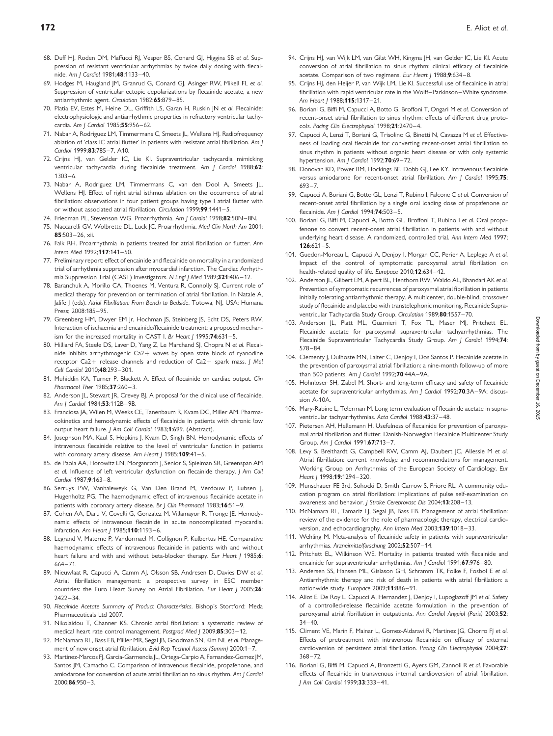- <span id="page-11-0"></span>68. Duff HJ, Roden DM, Maffucci RJ, Vesper BS, Conard GJ, Higgins SB et al. Suppression of resistant ventricular arrhythmias by twice daily dosing with flecai-
- nide. Am J Cardiol 1981;48:1133–40. 69. Hodges M, Haugland JM, Granrud G, Conard GJ, Asinger RW, Mikell FL et al. Suppression of ventricular ectopic depolarizations by flecainide acetate, a new antiarrhythmic agent. Circulation 1982;65:879–85.
- 70. Platia EV, Estes M, Heine DL, Griffith LS, Garan H, Ruskin JN et al. Flecainide: electrophysiologic and antiarrhythmic properties in refractory ventricular tachycardia. Am I Cardiol 1985:55:956-62.
- 71. Nabar A, Rodriguez LM, Timmermans C, Smeets JL, Wellens HJ. Radiofrequency ablation of 'class IC atrial flutter' in patients with resistant atrial fibrillation. Am J Cardiol 1999;83:785–7, A10.
- 72. Crijns HJ, van Gelder IC, Lie KI. Supraventricular tachycardia mimicking ventricular tachycardia during flecainide treatment. Am J Cardiol 1988;62: 1303–6.
- 73. Nabar A, Rodriguez LM, Timmermans C, van den Dool A, Smeets JL, Wellens HJ. Effect of right atrial isthmus ablation on the occurrence of atrial fibrillation: observations in four patient groups having type I atrial flutter with or without associated atrial fibrillation. Circulation 1999;99:1441–5.
- 74. Friedman PL, Stevenson WG. Proarrhythmia. Am J Cardiol 1998;82:50N-8N.
- 75. Naccarelli GV, Wolbrette DL, Luck JC. Proarrhythmia. Med Clin North Am 2001; 85:503–26, xii.
- 76. Falk RH. Proarrhythmia in patients treated for atrial fibrillation or flutter. Ann Intern Med 1992;117:141–50.
- 77. Preliminary report: effect of encainide and flecainide on mortality in a randomized trial of arrhythmia suppression after myocardial infarction. The Cardiac Arrhythmia Suppression Trial (CAST) Investigators. N Engl J Med 1989;321:406-12.
- 78. Baranchuk A, Morillo CA, Thoenes M, Ventura R, Connolly SJ. Current role of medical therapy for prevention or termination of atrial fibrillation. In Natale A, Jalife J (eds). Atrial Fibrillation: From Bench to Bedside. Totowa, NJ, USA: Humana Press; 2008:185–95.
- 79. Greenberg HM, Dwyer EM Jr, Hochman JS, Steinberg JS, Echt DS, Peters RW. Interaction of ischaemia and encainide/flecainide treatment: a proposed mechanism for the increased mortality in CAST I. Br Heart | 1995;74:631-5.
- 80. Hilliard FA, Steele DS, Laver D, Yang Z, Le Marchand SJ, Chopra N et al. Flecainide inhibits arrhythmogenic Ca2+ waves by open state block of ryanodine receptor Ca2+ release channels and reduction of Ca2+ spark mass. J Mol Cell Cardiol 2010;48:293–301.
- 81. Muhiddin KA, Turner P, Blackett A. Effect of flecainide on cardiac output. Clin Pharmacol Ther 1985;37:260-3.
- 82. Anderson JL, Stewart JR, Crevey BJ. A proposal for the clinical use of flecainide. Am | Cardiol 1984;53:112B-9B.
- 83. Franciosa JA, Wilen M, Weeks CE, Tanenbaum R, Kvam DC, Miller AM. Pharmacokinetics and hemodynamic effects of flecainide in patients with chronic low output heart failure. J Am Coll Cardiol 1983;1:699. (Abstract).
- 84. Josephson MA, Kaul S, Hopkins J, Kvam D, Singh BN. Hemodynamic effects of intravenous flecainide relative to the level of ventricular function in patients with coronary artery disease. Am Heart J 1985:109:41-5.
- 85. de Paola AA, Horowitz LN, Morganroth J, Senior S, Spielman SR, Greenspan AM et al. Influence of left ventricular dysfunction on flecainide therapy. J Am Coll Cardiol 1987;9:163-8.
- 86. Serruys PW, Vanhaleweyk G, Van Den Brand M, Verdouw P, Lubsen J, Hugenholtz PG. The haemodynamic effect of intravenous flecainide acetate in patients with coronary artery disease. Br J Clin Pharmacol 1983;16:51-9.
- 87. Cohen AA, Daru V, Covelli G, Gonzalez M, Villamayor R, Tronge JE. Hemodynamic effects of intravenous flecainide in acute noncomplicated myocardial infarction. Am Heart / 1985;110:1193-6.
- 88. Legrand V, Materne P, Vandormael M, Collignon P, Kulbertus HE. Comparative haemodynamic effects of intravenous flecainide in patients with and without heart failure and with and without beta-blocker therapy. Eur Heart J 1985;6: 664–71.
- 89. Nieuwlaat R, Capucci A, Camm AJ, Olsson SB, Andresen D, Davies DW et al. Atrial fibrillation management: a prospective survey in ESC member countries: the Euro Heart Survey on Atrial Fibrillation. Eur Heart J 2005;26: 2422–34.
- 90. Flecainide Acetate Summary of Product Characteristics. Bishop's Stortford: Meda Pharmaceuticals Ltd 2007.
- 91. Nikolaidou T, Channer KS. Chronic atrial fibrillation: a systematic review of medical heart rate control management. Postgrad Med J 2009;85:303–12.
- 92. McNamara RL, Bass EB, Miller MR, Segal JB, Goodman SN, Kim NL et al. Management of new onset atrial fibrillation. Evid Rep Technol Assess (Summ) 2000:1-7.
- 93. Martinez-Marcos FJ, Garcia-Garmendia JL, Ortega-Carpio A, Fernandez-Gomez JM, Santos JM, Camacho C. Comparison of intravenous flecainide, propafenone, and amiodarone for conversion of acute atrial fibrillation to sinus rhythm. Am J Cardiol 2000;86:950–3.
- 94. Crijns HJ, van Wijk LM, van Gilst WH, Kingma JH, van Gelder IC, Lie KI. Acute conversion of atrial fibrillation to sinus rhythm: clinical efficacy of flecainide acetate. Comparison of two regimens. Eur Heart J 1988;9:634-8.
- 95. Crijns HJ, den Heijer P, van Wijk LM, Lie KI. Successful use of flecainide in atrial fibrillation with rapid ventricular rate in the Wolff–Parkinson–White syndrome. Am Heart J 1988;115:1317-21.
- 96. Boriani G, Biffi M, Capucci A, Botto G, Broffoni T, Ongari M et al. Conversion of recent-onset atrial fibrillation to sinus rhythm: effects of different drug protocols. Pacing Clin Electrophysiol 1998;21:2470–4.
- 97. Capucci A, Lenzi T, Boriani G, Trisolino G, Binetti N, Cavazza M et al. Effectiveness of loading oral flecainide for converting recent-onset atrial fibrillation to sinus rhythm in patients without organic heart disease or with only systemic hypertension. Am J Cardiol 1992;70:69-72.
- 98. Donovan KD, Power BM, Hockings BE, Dobb GJ, Lee KY. Intravenous flecainide versus amiodarone for recent-onset atrial fibrillation. Am | Cardiol 1995;75: 693–7.
- 99. Capucci A, Boriani G, Botto GL, Lenzi T, Rubino L, Falcone C, et al. Conversion of recent-onset atrial fibrillation by a single oral loading dose of propafenone or flecainide. Am I Cardiol 1994;74:503-5.
- 100. Boriani G, Biffi M, Capucci A, Botto GL, Broffoni T, Rubino I et al. Oral propafenone to convert recent-onset atrial fibrillation in patients with and without underlying heart disease. A randomized, controlled trial. Ann Intern Med 1997;  $126:621 - 5$ .
- 101. Guedon-Moreau L, Capucci A, Denjoy I, Morgan CC, Perier A, Leplege A et al. Impact of the control of symptomatic paroxysmal atrial fibrillation on health-related quality of life. Europace 2010;12:634–42.
- 102. Anderson JL, Gilbert EM, Alpert BL, Henthorn RW, Waldo AL, Bhandari AK et al. Prevention of symptomatic recurrences of paroxysmal atrial fibrillation in patients initially tolerating antiarrhythmic therapy. A multicenter, double-blind, crossover study of flecainide and placebo with transtelephonic monitoring. Flecainide Supraventricular Tachycardia Study Group. Circulation 1989;80:1557-70.
- 103. Anderson JL, Platt ML, Guarnieri T, Fox TL, Maser MJ, Pritchett EL. Flecainide acetate for paroxysmal supraventricular tachyarrhythmias. The Flecainide Supraventricular Tachycardia Study Group. Am J Cardiol 1994;74: 578–84.
- 104. Clementy J, Dulhoste MN, Laiter C, Denjoy I, Dos Santos P. Flecainide acetate in the prevention of paroxysmal atrial fibrillation: a nine-month follow-up of more than 500 patients. Am J Cardiol 1992; 70:44A-9A.
- 105. Hohnloser SH, Zabel M. Short- and long-term efficacy and safety of flecainide acetate for supraventricular arrhythmias. Am J Cardiol 1992;70:3A-9A; discussion A-10A.
- 106. Mary-Rabine L, Telerman M. Long term evaluation of flecainide acetate in supraventricular tachyarrhythmias. Acta Cardiol 1988;43:37–48.
- 107. Pietersen AH, Hellemann H. Usefulness of flecainide for prevention of paroxysmal atrial fibrillation and flutter. Danish-Norwegian Flecainide Multicenter Study Group. Am J Cardiol 1991;67:713–7.
- 108. Levy S, Breithardt G, Campbell RW, Camm AJ, Daubert JC, Allessie M et al. Atrial fibrillation: current knowledge and recommendations for management. Working Group on Arrhythmias of the European Society of Cardiology. Eur Heart 1 1998:19:1294-320.
- 109. Munschauer FE 3rd, Sohocki D, Smith Carrow S, Priore RL. A community education program on atrial fibrillation: implications of pulse self-examination on awareness and behavior. J Stroke Cerebrovasc Dis 2004;13:208–13.
- 110. McNamara RL, Tamariz LJ, Segal JB, Bass EB. Management of atrial fibrillation: review of the evidence for the role of pharmacologic therapy, electrical cardioversion, and echocardiography. Ann Intern Med 2003;139:1018–33.
- 111. Wehling M. Meta-analysis of flecainide safety in patients with supraventricular arrhythmias. Arzneimittelforschung 2002;52:507-14.
- 112. Pritchett EL, Wilkinson WE. Mortality in patients treated with flecainide and encainide for supraventricular arrhythmias. Am J Cardiol 1991;67:976-80.
- 113. Andersen SS, Hansen ML, Gislason GH, Schramm TK, Folke F, Fosbol E et al. Antiarrhythmic therapy and risk of death in patients with atrial fibrillation: a nationwide study. Europace 2009;11:886–91.
- 114. Aliot E, De Roy L, Capucci A, Hernandez J, Denjoy I, Lupoglazoff JM et al. Safety of a controlled-release flecainide acetate formulation in the prevention of paroxysmal atrial fibrillation in outpatients. Ann Cardiol Angeiol (Paris) 2003;52: 34–40.
- 115. Climent VE, Marin F, Mainar L, Gomez-Aldaravi R, Martinez IG, Chorro FL et al. Effects of pretreatment with intravenous flecainide on efficacy of external cardioversion of persistent atrial fibrillation. Pacing Clin Electrophysiol 2004;27: 368–72.
- 116. Boriani G, Biffi M, Capucci A, Bronzetti G, Ayers GM, Zannoli R et al. Favorable effects of flecainide in transvenous internal cardioversion of atrial fibrillation. J Am Coll Cardiol 1999;33:333–41.